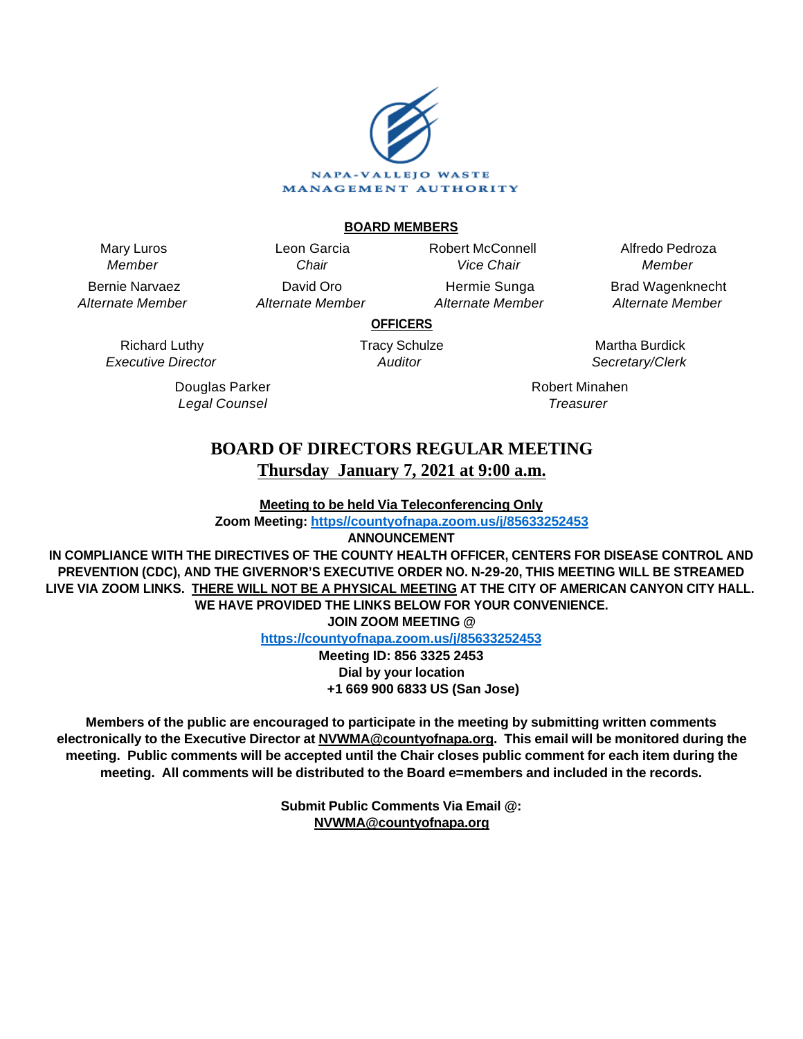

# **BOARD MEMBERS**

Mary Luros Member

Bernie Narvaez Alternate Member

> Richard Luthy Executive Director

Leon Garcia **Chair** David Oro Alternate Member Robert McConnell Vice Chair

Hermie Sunga Alternate Member

Alfredo Pedroza Member Brad Wagenknecht

Alternate Member

**OFFICERS** Tracy Schulze

Auditor

Douglas Parker Legal Counsel

Martha Burdick Secretary/Clerk

Robert Minahen **Treasurer** 

# **BOARD OF DIRECTORS REGULAR MEETING Thursday January 7, 2021 at 9:00 a.m.**

**Meeting to be held Via Teleconferencing Only**

**Zoom Meeting: [https//countyofnapa.zoom.us/j/85633252453](http://intranetprod01/AgendaNet/Reports/https//countyofnapa.zoom.us/j/99111938225)**

**ANNOUNCEMENT**

**IN COMPLIANCE WITH THE DIRECTIVES OF THE COUNTY HEALTH OFFICER, CENTERS FOR DISEASE CONTROL AND PREVENTION (CDC), AND THE GIVERNOR'S EXECUTIVE ORDER NO. N-29-20, THIS MEETING WILL BE STREAMED LIVE VIA ZOOM LINKS. THERE WILL NOT BE A PHYSICAL MEETING AT THE CITY OF AMERICAN CANYON CITY HALL. WE HAVE PROVIDED THE LINKS BELOW FOR YOUR CONVENIENCE.**

**JOIN ZOOM MEETING @**

**<https://countyofnapa.zoom.us/j/85633252453>**

**Meeting ID: 856 3325 2453 Dial by your location +1 669 900 6833 US (San Jose)**

**Members of the public are encouraged to participate in the meeting by submitting written comments electronically to the Executive Director at NVWMA@countyofnapa.org. This email will be monitored during the meeting. Public comments will be accepted until the Chair closes public comment for each item during the meeting. All comments will be distributed to the Board e=members and included in the records.**

> **Submit Public Comments Via Email @: NVWMA@countyofnapa.org**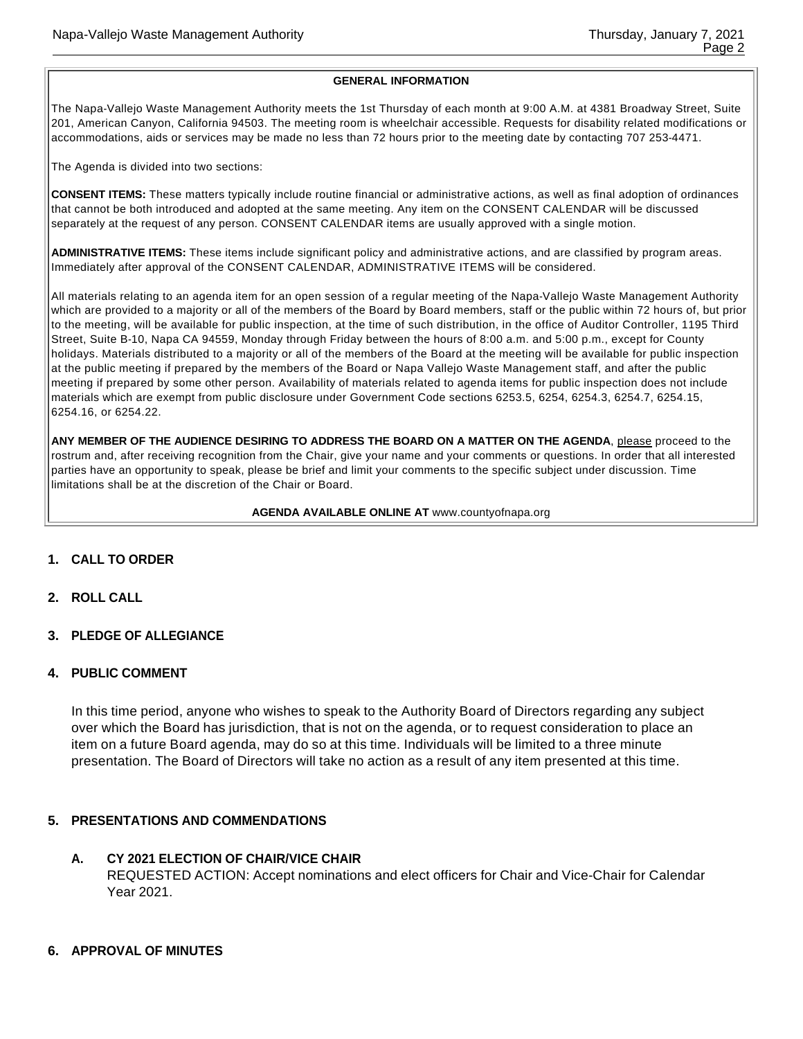#### **GENERAL INFORMATION**

The Napa-Vallejo Waste Management Authority meets the 1st Thursday of each month at 9:00 A.M. at 4381 Broadway Street, Suite 201, American Canyon, California 94503. The meeting room is wheelchair accessible. Requests for disability related modifications or accommodations, aids or services may be made no less than 72 hours prior to the meeting date by contacting 707 253-4471.

The Agenda is divided into two sections:

**CONSENT ITEMS:** These matters typically include routine financial or administrative actions, as well as final adoption of ordinances that cannot be both introduced and adopted at the same meeting. Any item on the CONSENT CALENDAR will be discussed separately at the request of any person. CONSENT CALENDAR items are usually approved with a single motion.

**ADMINISTRATIVE ITEMS:** These items include significant policy and administrative actions, and are classified by program areas. Immediately after approval of the CONSENT CALENDAR, ADMINISTRATIVE ITEMS will be considered.

All materials relating to an agenda item for an open session of a regular meeting of the Napa-Vallejo Waste Management Authority which are provided to a majority or all of the members of the Board by Board members, staff or the public within 72 hours of, but prior to the meeting, will be available for public inspection, at the time of such distribution, in the office of Auditor Controller, 1195 Third Street, Suite B-10, Napa CA 94559, Monday through Friday between the hours of 8:00 a.m. and 5:00 p.m., except for County holidays. Materials distributed to a majority or all of the members of the Board at the meeting will be available for public inspection at the public meeting if prepared by the members of the Board or Napa Vallejo Waste Management staff, and after the public meeting if prepared by some other person. Availability of materials related to agenda items for public inspection does not include materials which are exempt from public disclosure under Government Code sections 6253.5, 6254, 6254.3, 6254.7, 6254.15, 6254.16, or 6254.22.

**ANY MEMBER OF THE AUDIENCE DESIRING TO ADDRESS THE BOARD ON A MATTER ON THE AGENDA**, please proceed to the rostrum and, after receiving recognition from the Chair, give your name and your comments or questions. In order that all interested parties have an opportunity to speak, please be brief and limit your comments to the specific subject under discussion. Time limitations shall be at the discretion of the Chair or Board.

#### **AGENDA AVAILABLE ONLINE AT** www.countyofnapa.org

- **1. CALL TO ORDER**
- **2. ROLL CALL**
- **3. PLEDGE OF ALLEGIANCE**
- **4. PUBLIC COMMENT**

In this time period, anyone who wishes to speak to the Authority Board of Directors regarding any subject over which the Board has jurisdiction, that is not on the agenda, or to request consideration to place an item on a future Board agenda, may do so at this time. Individuals will be limited to a three minute presentation. The Board of Directors will take no action as a result of any item presented at this time.

#### **5. PRESENTATIONS AND COMMENDATIONS**

## **A. CY 2021 ELECTION OF CHAIR/VICE CHAIR** REQUESTED ACTION: Accept nominations and elect officers for Chair and Vice-Chair for Calendar Year 2021.

#### **6. APPROVAL OF MINUTES**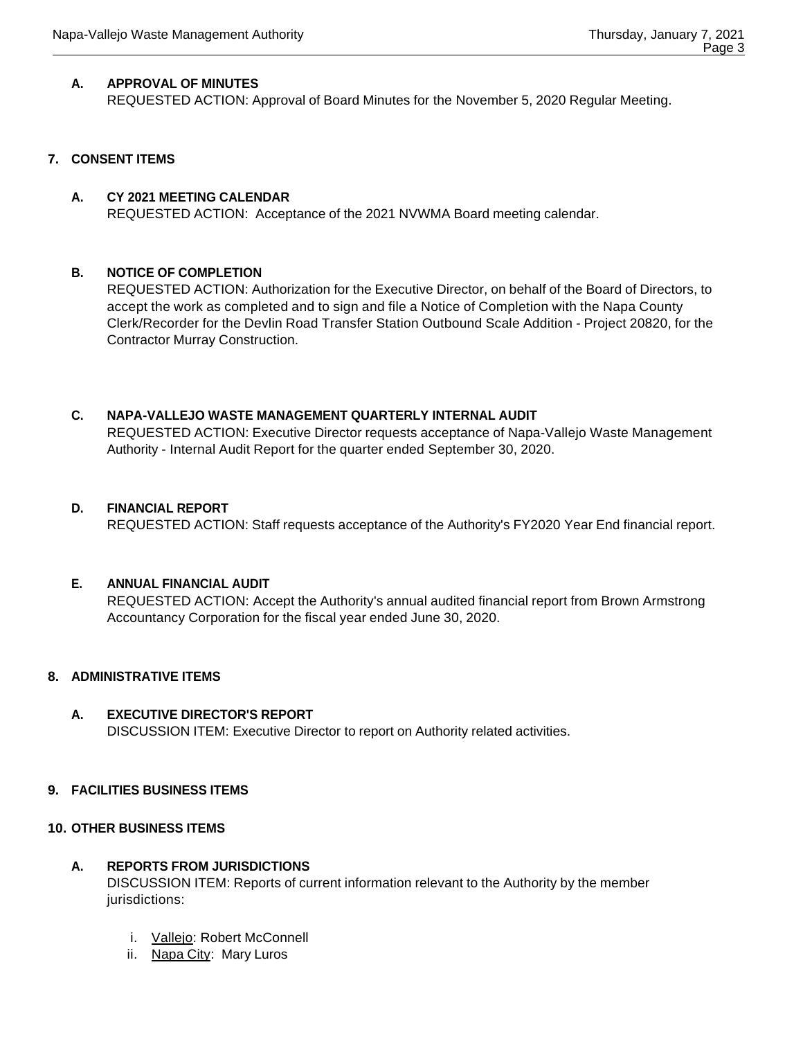# **A. APPROVAL OF MINUTES**

REQUESTED ACTION: Approval of Board Minutes for the November 5, 2020 Regular Meeting.

# **7. CONSENT ITEMS**

# **A. CY 2021 MEETING CALENDAR**

REQUESTED ACTION: Acceptance of the 2021 NVWMA Board meeting calendar.

# **B. NOTICE OF COMPLETION**

REQUESTED ACTION: Authorization for the Executive Director, on behalf of the Board of Directors, to accept the work as completed and to sign and file a Notice of Completion with the Napa County Clerk/Recorder for the Devlin Road Transfer Station Outbound Scale Addition - Project 20820, for the Contractor Murray Construction.

## **C. NAPA-VALLEJO WASTE MANAGEMENT QUARTERLY INTERNAL AUDIT**

REQUESTED ACTION: Executive Director requests acceptance of Napa-Vallejo Waste Management Authority - Internal Audit Report for the quarter ended September 30, 2020.

## **D. FINANCIAL REPORT**

REQUESTED ACTION: Staff requests acceptance of the Authority's FY2020 Year End financial report.

# **E. ANNUAL FINANCIAL AUDIT**

REQUESTED ACTION: Accept the Authority's annual audited financial report from Brown Armstrong Accountancy Corporation for the fiscal year ended June 30, 2020.

#### **8. ADMINISTRATIVE ITEMS**

**A. EXECUTIVE DIRECTOR'S REPORT** DISCUSSION ITEM: Executive Director to report on Authority related activities.

#### **9. FACILITIES BUSINESS ITEMS**

#### **10. OTHER BUSINESS ITEMS**

# **A. REPORTS FROM JURISDICTIONS**

DISCUSSION ITEM: Reports of current information relevant to the Authority by the member jurisdictions:

- i. Vallejo: Robert McConnell
- ii. Napa City: Mary Luros